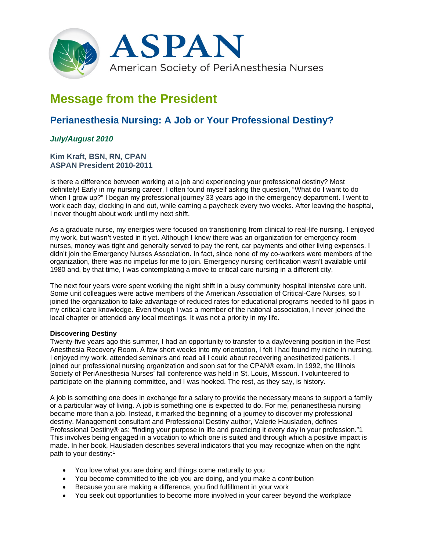

# **Message from the President**

## **Perianesthesia Nursing: A Job or Your Professional Destiny?**

### *July/August 2010*

#### **Kim Kraft, BSN, RN, CPAN ASPAN President 2010-2011**

Is there a difference between working at a job and experiencing your professional destiny? Most definitely! Early in my nursing career, I often found myself asking the question, "What do I want to do when I grow up?" I began my professional journey 33 years ago in the emergency department. I went to work each day, clocking in and out, while earning a paycheck every two weeks. After leaving the hospital, I never thought about work until my next shift.

As a graduate nurse, my energies were focused on transitioning from clinical to real-life nursing. I enjoyed my work, but wasn't vested in it yet. Although I knew there was an organization for emergency room nurses, money was tight and generally served to pay the rent, car payments and other living expenses. I didn't join the Emergency Nurses Association. In fact, since none of my co-workers were members of the organization, there was no impetus for me to join. Emergency nursing certification wasn't available until 1980 and, by that time, I was contemplating a move to critical care nursing in a different city.

The next four years were spent working the night shift in a busy community hospital intensive care unit. Some unit colleagues were active members of the American Association of Critical-Care Nurses, so I joined the organization to take advantage of reduced rates for educational programs needed to fill gaps in my critical care knowledge. Even though I was a member of the national association, I never joined the local chapter or attended any local meetings. It was not a priority in my life.

#### **Discovering Destiny**

Twenty-five years ago this summer, I had an opportunity to transfer to a day/evening position in the Post Anesthesia Recovery Room. A few short weeks into my orientation, I felt I had found my niche in nursing. I enjoyed my work, attended seminars and read all I could about recovering anesthetized patients. I joined our professional nursing organization and soon sat for the CPAN® exam. In 1992, the Illinois Society of PeriAnesthesia Nurses' fall conference was held in St. Louis, Missouri. I volunteered to participate on the planning committee, and I was hooked. The rest, as they say, is history.

A job is something one does in exchange for a salary to provide the necessary means to support a family or a particular way of living. A job is something one is expected to do. For me, perianesthesia nursing became more than a job. Instead, it marked the beginning of a journey to discover my professional destiny. Management consultant and Professional Destiny author, Valerie Hausladen, defines Professional Destiny® as: "finding your purpose in life and practicing it every day in your profession."1 This involves being engaged in a vocation to which one is suited and through which a positive impact is made. In her book, Hausladen describes several indicators that you may recognize when on the right path to your destiny:1

- You love what you are doing and things come naturally to you
- You become committed to the job you are doing, and you make a contribution
- Because you are making a difference, you find fulfillment in your work
- You seek out opportunities to become more involved in your career beyond the workplace